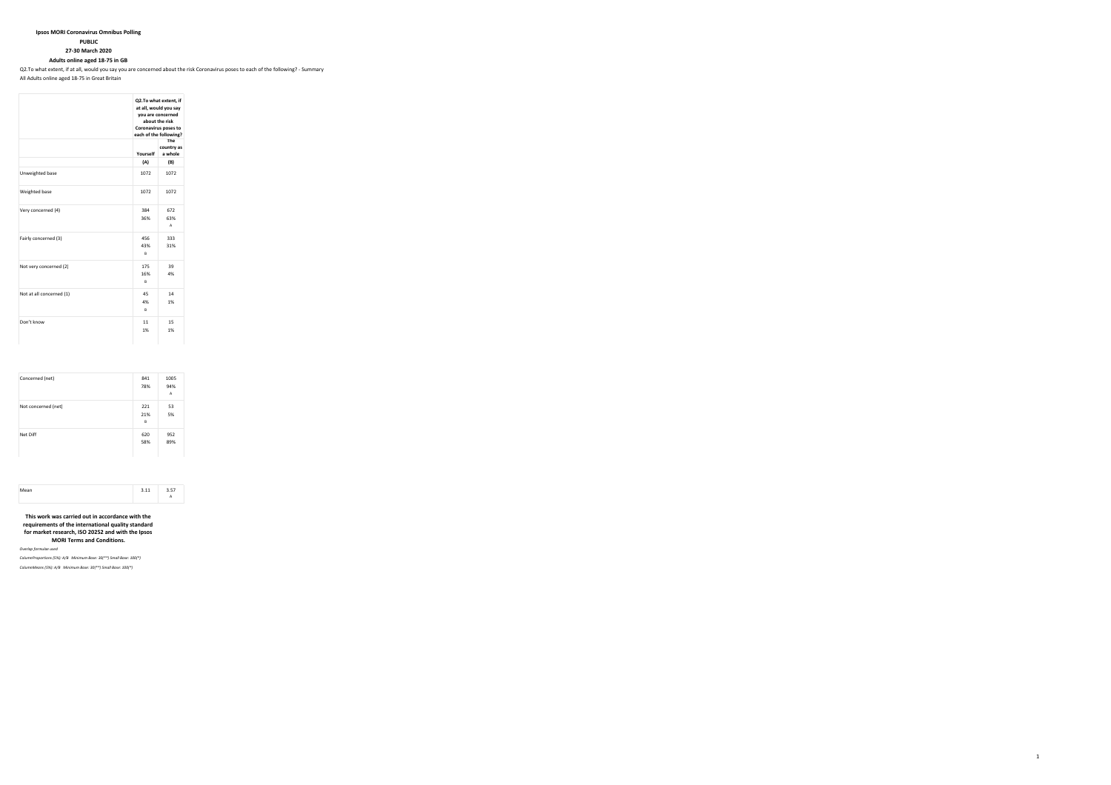# **Ipsos MORI Coronavirus Omnibus Polling**

**PUBLIC**

**27-30 March 2020**

**Adults online aged 18-75 in GB**

Q2.To what extent, if at all, would you say you are concerned about the risk Coronavirus poses to each of the following? - Summary

All Adults online aged 18-75 in Great Britain

|                          |                 | Q2.To what extent, if<br>at all, would you say<br>you are concerned<br>about the risk<br>Coronavirus poses to<br>each of the following?<br>The |
|--------------------------|-----------------|------------------------------------------------------------------------------------------------------------------------------------------------|
|                          | Yourself        | country as<br>a whole                                                                                                                          |
|                          | (A)             | (B)                                                                                                                                            |
| Unweighted base          | 1072            | 1072                                                                                                                                           |
| Weighted base            | 1072            | 1072                                                                                                                                           |
| Very concerned (4)       | 384<br>36%      | 672<br>63%<br>Δ                                                                                                                                |
| Fairly concerned (3)     | 456<br>43%<br>Ŕ | 333<br>31%                                                                                                                                     |
| Not very concerned (2)   | 175<br>16%<br>R | 39<br>4%                                                                                                                                       |
| Not at all concerned (1) | 45<br>4%<br>R   | 14<br>1%                                                                                                                                       |
| Don't know               | 11<br>1%        | 15<br>1%                                                                                                                                       |

| Concerned (net)     | 841<br>78%      | 1005<br>94%<br>A |
|---------------------|-----------------|------------------|
| Not concerned (net) | 221<br>21%<br>B | 53<br>5%         |
| Net Diff            | 620<br>58%      | 952<br>89%       |



**This work was carried out in accordance with the requirements of the international quality standard for market research, ISO 20252 and with the Ipsos MORI Terms and Conditions.**

*Overlap formulae used*

*ColumnProportions (5%): A/B Minimum Base: 30(\*\*) Small Base: 100(\*)*

*ColumnMeans (5%): A/B Minimum Base: 30(\*\*) Small Base: 100(\*)*

 $1$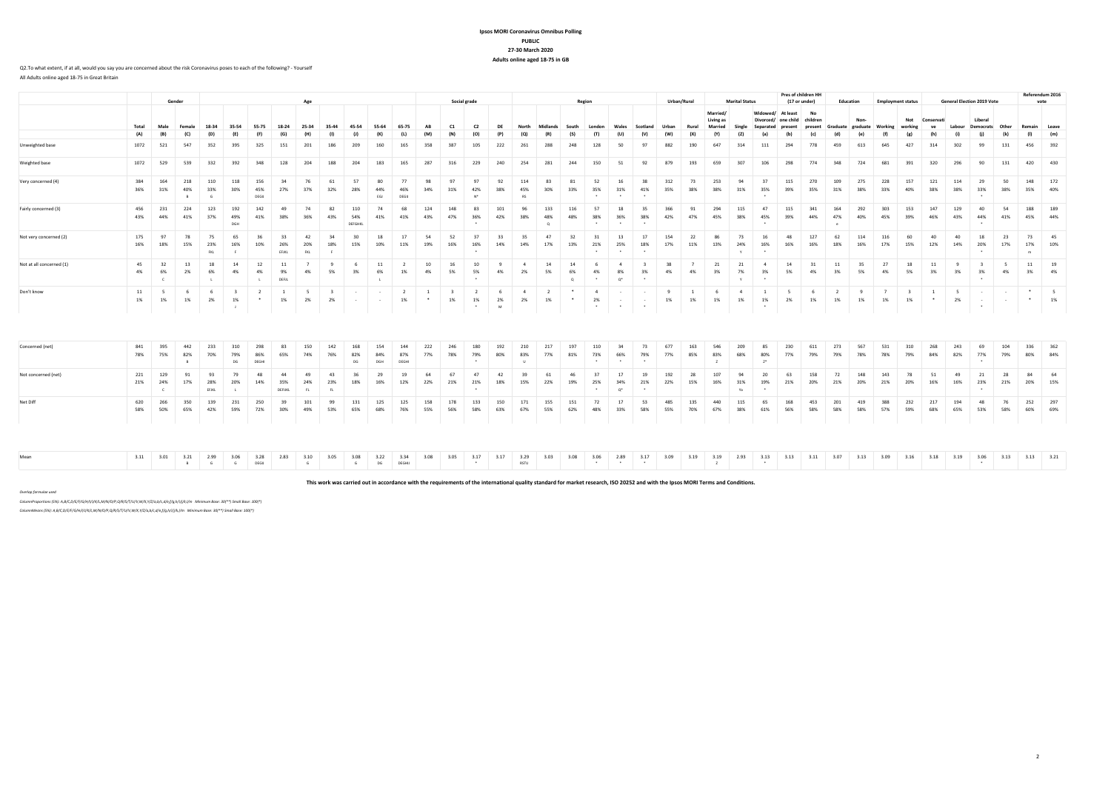## **Ipsos MORI Coronavirus Omnibus PollingPUBLIC 27-30 March 2020Adults online aged 18-75 in GB**

#### Q2.To what extent, if at all, would you say you are concerned about the risk Coronavirus poses to each of the following? - Yourself All Adults online aged 18-75 in Great Britain

|                          |            |                            |                        | Age                |                       |                          |                          |                         |            |                              |            |                      |            |            |                                           |            |                      |                       |               |                             |                                                  |                                    |            |                      |                 |                       |                                   | Pres of children HH |                             |                            |                       |                       |                                 |            | Referendum 2016 |                             |            |                                |                                |                                   |  |  |      |
|--------------------------|------------|----------------------------|------------------------|--------------------|-----------------------|--------------------------|--------------------------|-------------------------|------------|------------------------------|------------|----------------------|------------|------------|-------------------------------------------|------------|----------------------|-----------------------|---------------|-----------------------------|--------------------------------------------------|------------------------------------|------------|----------------------|-----------------|-----------------------|-----------------------------------|---------------------|-----------------------------|----------------------------|-----------------------|-----------------------|---------------------------------|------------|-----------------|-----------------------------|------------|--------------------------------|--------------------------------|-----------------------------------|--|--|------|
|                          |            |                            | Gender                 |                    |                       |                          |                          |                         |            |                              |            |                      |            |            |                                           |            |                      |                       | Social grade  |                             |                                                  |                                    |            | Region               |                 |                       | Urban/Rural                       |                     | <b>Married</b><br>Living as | <b>Marital Status</b>      | Widowed/<br>Divorced/ | At least<br>one child | (17 or under)<br>No<br>children |            | Education       | <b>Employment status</b>    |            |                                |                                | <b>General Election 2019 Vote</b> |  |  | vote |
|                          | Total      | Male                       | Female                 | 18-34              |                       | 55-75                    | 18-24                    | 25-34                   |            |                              | 55-64      | 65-75                | AF         | C1         | $^{c}$                                    |            |                      | Midlands              | South         |                             |                                                  |                                    | Urban      | Rural                | Married         | Single                | Separated                         |                     |                             | Graduate                   |                       | graduate Working      | workin                          |            | Labour          | <b>Democrats</b>            | Other      | Remain                         | Leave                          |                                   |  |  |      |
|                          | (A)        | (R)                        | (C)                    |                    |                       |                          | iGʻ                      |                         |            |                              |            |                      |            | (N)        |                                           |            |                      |                       |               |                             |                                                  |                                    | (w)        | (x)                  | (Y)             |                       |                                   | $\mathbf{f}$        |                             |                            |                       |                       |                                 |            |                 |                             |            |                                | (m)                            |                                   |  |  |      |
| Unweighted base          | 1072       | 521                        | 547                    | 352                | 395                   | 325                      | 151                      | 20                      |            |                              |            |                      |            | 387        | 105                                       | 222        | 26                   | 288                   | 248           |                             |                                                  |                                    | 882        | 100                  | 647             | 314                   | 111                               | 294                 | 778                         | A59                        | 613                   | 645                   | 427                             |            | 302             | $\alpha$                    | 131        | 456                            | 392                            |                                   |  |  |      |
| Weighted base            | 1072       | 529                        | 539                    | 332                | 392                   | 348                      | 128                      | 204                     | 188        | 204                          | 183        | 165                  | 287        | 316        | 229                                       | 240        | 254                  | 281                   | 244           | 150                         | 51                                               | 92                                 | 879        | 193                  | 659             | 307                   | 106                               | 298                 | 774                         | 348                        | 724                   | 681                   | 391                             | 320        | 296             | 90                          | 131        | 420                            | 430                            |                                   |  |  |      |
| Very concerned (4)       | 384<br>36% | 164<br>31%                 | 218<br>40%<br><b>R</b> | 110<br>33%<br>G    | 118<br>30%            | 156<br>45%<br>DEGI       | 27%                      | 37%                     | 32%        | 57<br>28%                    | 44%<br>EGJ | DEGU                 |            | 31%        | 42%                                       | 38%        | 114<br>45%<br>RS     | 30%                   | 81<br>33%     | 35%                         | 16<br>31%                                        | 38<br>41%                          | 312<br>35% | 73<br>38%            | 253<br>38%      | 94<br>31%             | 37<br>35%                         | 115<br>39%          | 270<br>35%                  | 109<br>31%                 | 275<br>38%            | 228<br>33%            | 157<br>40%                      | 121<br>38% | 114<br>38%      | 29<br>33%                   | 50<br>38%  | 148<br>35%                     | 172<br>40%                     |                                   |  |  |      |
| Fairly concerned (3)     | 456<br>43% | 231<br>44%                 | 224<br>41%             | 123<br>37%         | 192<br>49%<br>DGH     | 142<br>41%               | 49<br>38%                | 74<br>36%               | 82<br>43%  | 110<br>54%<br><b>DEFGHKL</b> | 74<br>41%  | 68<br>41%            | 124<br>43% | 148<br>47% | 83<br>36%<br>$\ddot{\phantom{1}}$         | 101<br>42% | 38%                  | 133<br>48%<br>$\circ$ | 116<br>48%    | 57<br>38%<br>$\cdot$        | 18<br>36%<br>$\sim$                              | 35<br>38%<br>$\sim$                | 366<br>42% | 91<br>47%            | 294<br>45%      | 115<br>38%            | 47<br>45%<br>$\ddot{\phantom{1}}$ | 115<br>39%          | 341<br>44%                  | 164<br>47%<br>$\mathbf{e}$ | 292<br>40%            | 303<br>45%            | 153<br>39%                      | 147<br>46% | 129<br>43%      | 40<br>44%                   | 54<br>41%  | 188<br>45%                     | 189<br>44%                     |                                   |  |  |      |
| Not very concerned (2)   | 175<br>16% | 97<br>18%                  | 78<br>15%              | 75<br>23%<br>FKL.  | 65<br>16%<br><b>F</b> |                          | 33<br>26%<br>EFJKL       | 42<br>20%<br><b>FKL</b> | 18%        | 30<br>15%                    | 18<br>10%  | 17<br>11%            | 54<br>19%  | 52<br>16%  | 37<br>16%                                 | 33<br>14%  | 35<br>14%            | 47<br>17%             | 32<br>13%     | 21%<br>$\cdot$              | 13<br>25%<br>$\ddot{\phantom{1}}$                | -17<br>18%<br>$\ddot{\phantom{1}}$ | 154<br>17% | 22<br>11%            | 13%             | 73<br>24%<br><b>V</b> | 16<br>16%<br>$\ddot{\phantom{1}}$ | 48<br>16%           | 127<br>16%                  | 62<br>18%                  | 114<br>16%            | 116<br>17%            | 60<br>15%                       | 40<br>12%  | 40<br>14%       | 18<br>20%                   | 23<br>17%  | 73<br>17%<br>$\mathbf{m}$      | 45<br>10%                      |                                   |  |  |      |
| Not at all concerned (1) | 45<br>4%   | 32<br>6%<br>$\mathsf{C}$   | 13<br>2%               | 18<br>6%<br>L      | 14<br>4%              | 12<br>4%<br>$\mathbf{L}$ | 11<br>9%<br><b>DEFJL</b> | 4%                      | 5%         | 3%                           | 6%<br>- 11 | 1%                   | 10<br>4%   | 16<br>5%   | 10<br>5%                                  | 4%         | 2%                   | 14<br>5%              | 14<br>6%<br>Q | 4%                          | 8%<br>$Q^*$                                      | 3%                                 | 38<br>4%   | 4%                   | 21<br>3%        | 21<br>7%              | 3%                                | 14<br>5%            | 31<br>4%                    | 11<br>3%                   | 35<br>5%              | 27<br>4%              | 18<br>5%                        | 11<br>3%   | - q<br>3%       | ર<br>3%                     | -5<br>4%   | 11<br>3%                       | 19<br>4%                       |                                   |  |  |      |
| Don't know               | 11<br>1%   | 1%                         | 1%                     | 2%                 | 1%                    | $\overline{2}$           | $\overline{1}$<br>1%     | 2%                      | 2%         |                              |            | $\overline{2}$<br>1% | $\sim$     | 1%         | 1%<br>$\bullet$                           | 2%<br>M.   | $\mathfrak{a}$<br>2% | 1%                    | $\sim$        | $\overline{a}$<br>2%        | $\sim$<br>$\ddot{\phantom{1}}$                   | $\ddot{\phantom{1}}$               | 9<br>1%    | $\overline{1}$<br>1% | 1%              | $\overline{4}$<br>1%  | $\overline{1}$<br>1%              | -5<br>2%            | - 6<br>1%                   | 1%                         | 1%                    | 1%                    | 1%                              | $\sim$     | 2%              |                             | $\sim$     | $\ddot{\phantom{1}}$<br>$\sim$ | $\overline{\phantom{0}}$<br>1% |                                   |  |  |      |
|                          |            |                            |                        |                    |                       |                          |                          |                         |            |                              |            |                      |            |            |                                           |            |                      |                       |               |                             |                                                  |                                    |            |                      |                 |                       |                                   |                     |                             |                            |                       |                       |                                 |            |                 |                             |            |                                |                                |                                   |  |  |      |
| Concerned (net)          | 841<br>78% | 395<br>75%                 | 442<br>82%<br>B        | 233<br>70%         | 79%<br>DG             | 86%<br>DEGHI             | 65%                      | 150<br>74%              | 142<br>76% | 168<br>82%<br>DG             | 84%<br>DGH | 87%<br>DEGHI         | 222<br>77% | 78%        | 79%                                       | 80%        | 83%<br>$\mathbf{H}$  | 77%                   | 81%           | 73%<br>$\cdot$              | 66%<br>$\ddot{\phantom{1}}$                      | 79%<br>$\ddot{\phantom{1}}$        | 677<br>77% | 85%                  | 83%             | 68%                   | 80%<br>$Z^*$                      | 230<br>77%          | 79%                         | 273<br>79%                 | 56<br>78%             | 531<br>78%            | 310<br>79%                      | 268<br>84% | 243<br>82%      | 77%<br>$\ddot{\phantom{1}}$ | 104<br>79% | 336<br>80%                     | 362<br>84%                     |                                   |  |  |      |
| Not concerned (net)      | 221<br>21% | 129<br>24%<br>$\mathsf{C}$ | 91<br>17%              | 93<br>28%<br>EFJKL | 79<br>20%             | 14%                      | 35%<br>DEFUKL            | FL.                     | 43<br>23%  | 18%                          | 16%        | 12%                  | 22%        | 67<br>21%  | 47<br>21%                                 | 42<br>18%  | 15%                  | 22%                   | 19%           | 25%<br>$\ddot{\phantom{1}}$ | 17<br>34%<br>$\mathbb{Q}^*$                      | 19<br>21%<br>$\ddot{\phantom{1}}$  | 192<br>22% | 15%                  | 16%             | 31%<br>Ya             | 20<br>19%                         | 63<br>21%           | 158<br>20%                  | 72<br>21%                  | 148<br>20%            | 143<br>21%            | 78<br>20%                       | 16%        | 49<br>16%       | 21<br>23%                   | 28<br>21%  | 84<br>20%                      | 64<br>15%                      |                                   |  |  |      |
| Net Diff                 | 620<br>58% | 266<br>50%                 | 350<br>65%             | 139<br>42%         | 231<br>59%            | 250<br>72%               | 39<br>30%                | 49%                     | 53%        | 65%                          | 68%        | 76%                  | 55%        | 178<br>56% | 133<br>58%                                | 150<br>63% | 67%                  | 155<br>55%            | 151<br>62%    | 48%                         | -17<br>33%                                       | 53<br>58%                          | 485<br>55% | 70%                  | 67%             | 38%                   | 61%                               | 168<br>56%          | 453<br>58%                  | 201<br>58%                 | 58%                   | 38\$<br>57%           | 232<br>59%                      | 68%        | 65%             | 53%                         | 58%        | 252<br>60%                     | 297<br>69%                     |                                   |  |  |      |
|                          |            |                            |                        |                    |                       |                          |                          |                         |            |                              |            |                      |            |            |                                           |            |                      |                       |               |                             |                                                  |                                    |            |                      |                 |                       |                                   |                     |                             |                            |                       |                       |                                 |            |                 |                             |            |                                |                                |                                   |  |  |      |
| Mean                     |            | 3.11 3.01                  | 3.21                   | 2.99               | 3.06<br><b>B</b> G G  | 3.28<br>DEGU             | 2.83                     | 3.10<br>G               | 3.05       | 3.08<br>G                    | 3.22<br>DG | 3.34<br>DEGHIJ       | 3.08       | 3.05       | 3.17<br><b>Contract Contract Contract</b> | 3.17       | 3.29<br><b>RSTU</b>  | 3.03                  | 3.08          | 3.06                        | 2.89<br>the contract of the contract of the con- | 3.17                               | 3.09       | 3.19                 | 3.19<br>$Z = 1$ | 2.93                  | 3.13<br>$\sim$ $\sim$             | 3.13                | 3.11                        | 3.07                       | 3.13                  | 3.09                  | 3.16                            | 3.18       | 3.19            | 3.06<br>$\rightarrow$       | 3.13       | 3.13                           | 3.21                           |                                   |  |  |      |

**This work was carried out in accordance with the requirements of the international quality standard for market research, ISO 20252 and with the Ipsos MORI Terms and Conditions.**

*Overlap formulae used*

 *ColumnProportions (5%): A,B/C,D/E/F/G/H/I/J/K/L,M/N/O/P,Q/R/S/T/U/V,W/X,Y/Z/a,b/c,d/e,f/g,h/i/j/k,l/m Minimum Base: 30(\*\*) Small Base: 100(\*) ColumnMeans (5%): A,B/C,D/E/F/G/H/I/J/K/L,M/N/O/P,Q/R/S/T/U/V,W/X,Y/Z/a,b/c,d/e,f/g,h/i/j/k,l/m Minimum Base: 30(\*\*) Small Base: 100(\*)*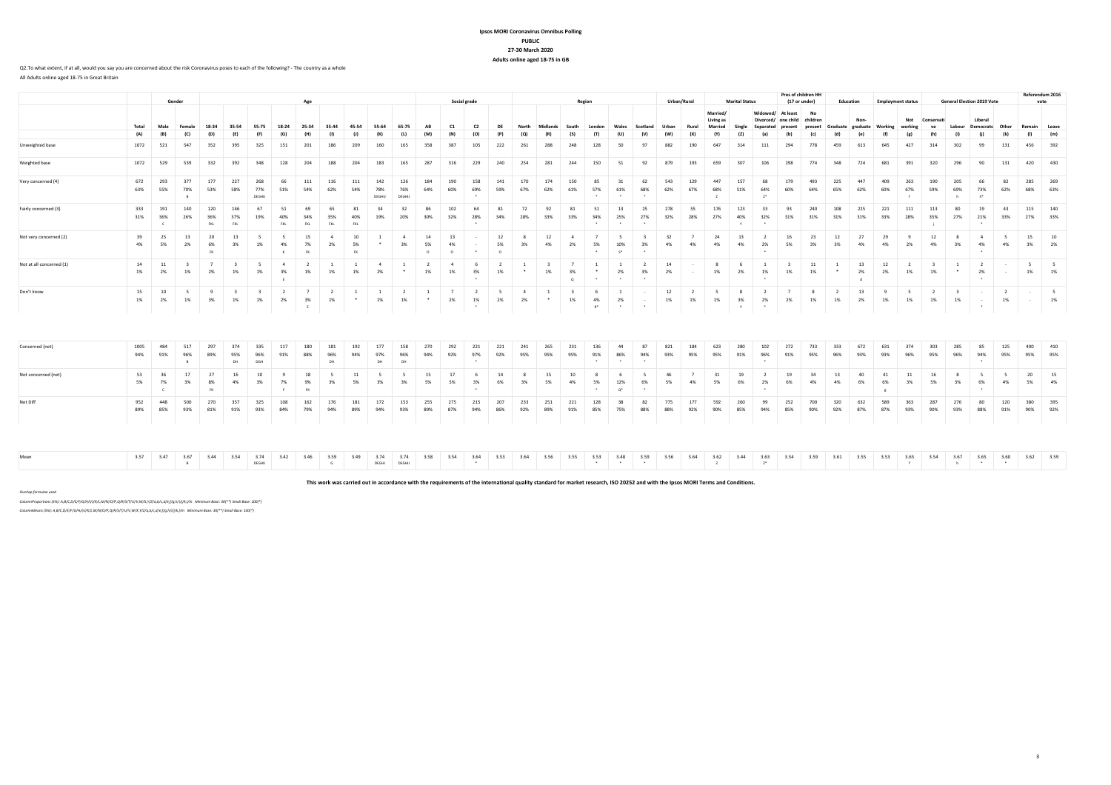## **Ipsos MORI Coronavirus Omnibus PollingPUBLIC 27-30 March 2020Adults online aged 18-75 in GB**

**Pres of children HH** 

### Q2.To what extent, if at all, would you say you are concerned about the risk Coronavirus poses to each of the following? - The country as a wholeAll Adults online aged 18-75 in Great Britain

|                          |             |                            | Gender                 |                    |                               |                               | Age                     |                         |                         |                            |                         |                      |                                        |                      | Social grade                      |                                |                      |                           |                    | Regio                |                                                                                                                                                                                                                                         |                             |            | Urban/Rural          |                                 | <b>Marital Status</b>     |                      |                                                     | (17 or under)  |                             | <b>Education</b> | <b>Employment status</b> |                |            |                    | <b>General Election 2019 Vote</b>           |                      |                  | <b>NEIEIEINUIII 4945</b><br>vote |
|--------------------------|-------------|----------------------------|------------------------|--------------------|-------------------------------|-------------------------------|-------------------------|-------------------------|-------------------------|----------------------------|-------------------------|----------------------|----------------------------------------|----------------------|-----------------------------------|--------------------------------|----------------------|---------------------------|--------------------|----------------------|-----------------------------------------------------------------------------------------------------------------------------------------------------------------------------------------------------------------------------------------|-----------------------------|------------|----------------------|---------------------------------|---------------------------|----------------------|-----------------------------------------------------|----------------|-----------------------------|------------------|--------------------------|----------------|------------|--------------------|---------------------------------------------|----------------------|------------------|----------------------------------|
|                          | Total       | Male                       | Female                 | 18-34              | 35-54                         | 55-75                         | 18-24                   | 25-34                   |                         | 45-54                      | 55-64                   | 65-7                 | AR                                     | C1                   | $^{c}$                            |                                |                      | Midlands                  | South              | London               |                                                                                                                                                                                                                                         | Scotland                    | Urban      | Rural                | Married<br>Living as<br>Married |                           | Senarated            | At least<br>Divorced/ one child children<br>nrocont | No.<br>nrecent | Graduate                    | Non-<br>graduate | Working                  | Not<br>working | Conservati | Labour             | Liberal<br><b>Democrats</b>                 | Other                | Remain           | Leave                            |
|                          | (A)         | (B)                        | (C)                    | (D)                | (F)                           | Œ                             | (G)                     |                         |                         |                            |                         |                      |                                        | (N)                  |                                   |                                |                      |                           |                    |                      | (U)                                                                                                                                                                                                                                     | (V)                         |            | (X)                  |                                 |                           |                      |                                                     |                |                             |                  |                          |                |            |                    |                                             |                      |                  | (m)                              |
| Unweighted base          | 1072        | 521                        | 547                    | 352                | 395                           | 325                           | 151                     | $20^{\circ}$            |                         |                            | 160                     |                      |                                        | 38'                  | 10'                               | 222                            |                      | 288                       | 248                |                      | 50                                                                                                                                                                                                                                      |                             | 882        | 190                  | 647                             |                           | 111                  | 294                                                 | 778            | 459                         | 613              | 645                      | 427            |            | 302                | 99                                          | 131                  | 456              | 392                              |
| Weighted base            |             | 1072 529                   | 539                    | 332                | 392                           | 348                           | 128                     | 204                     | 188                     | 204                        | 183                     | 165                  | 287                                    | 316                  | 229                               | 240                            | 254                  | 281                       | 244                | 150                  | 51                                                                                                                                                                                                                                      | 92                          | 879        | 193                  | 659                             | 307                       | 106                  | 298                                                 | 774            | 348                         | 724              | 681                      | 391            | 320        | 296                | 90                                          | 131                  | 420              | 430                              |
| Very concerned (4)       | 672<br>63%  | 293<br>55%                 | 377<br>70%<br>B        | 177<br>53%         | 227<br>58%                    | 268<br>77%<br>DEGHIJ          | 66<br>51%               | 111<br>54%              | 116<br>62%              | 111<br>54%                 | 142<br>78%<br>DEGHIJ    | 126<br>76%<br>DEGHIJ | 184<br>64%                             | 190<br>60%           | 158<br>69%                        | 141<br>59%                     | 170<br>67%           | 174<br>62%                | 150<br>61%         | 85<br>57%<br>$\cdot$ | 31<br>61%<br>$\sim$                                                                                                                                                                                                                     | 62<br>68%<br>$\overline{a}$ | 543<br>62% | 129<br>67%           | 447<br>68%                      | 157<br>51%                | 68<br>64%            | 179<br>60%                                          | 493<br>64%     | 225<br>65%                  | 447<br>62%       | 409<br>60%               | 67%            | 190<br>59% | 205<br>69%<br>h    | 73%<br>$h^*$                                | 82<br>62%            | 285<br>68%       | 269<br>63%                       |
| Fairly concerned (3)     | 333<br>31%  | 191<br>36%<br>$\mathsf{C}$ | 140<br>26%             | 120<br>36%<br>FKL. | 146<br>37%<br><b>FKL</b>      | 67<br>19%                     | 51<br>40%<br><b>FKL</b> | 69<br>34%<br><b>FKL</b> | 65<br>35%<br><b>FKL</b> | 81<br>40%<br>FKL           | 19%                     | 32<br>20%            | 30%                                    | 102<br>32%           | 64<br>28%                         | 81<br>34%                      | 72<br>28%            | 92<br>33%                 | 81<br>33%          | 51<br>34%            | 13<br>25%<br>$\ddot{\phantom{1}}$                                                                                                                                                                                                       | 25<br>27%<br>$\sim$         | 278<br>32% | 55<br>28%            | 176<br>27%                      | 123<br>40%<br><b>V</b>    | 33<br>32%            | 93<br>31%                                           | 240<br>31%     | 108<br>31%                  | 225<br>31%       | 221<br>33%               | 111<br>28%     | 113<br>35% | 80<br>27%          | 19<br>21%                                   | 43<br>33%            | 115<br>27% 33%   | 140                              |
| Not very concerned (2)   | 39<br>4%    | 25<br>5%                   | 13<br>2%               | 6%<br>FK.          | 13<br>3%                      | 1%                            | 4%<br>$\kappa$          | 7%<br><b>FK</b>         | 2%                      | 5%<br><b>FK</b>            |                         | 3%                   | $\circ$                                | 13<br>4%<br>$\Omega$ | $\bullet$                         | 12<br>5%<br>$\Omega$           | 3%                   | 12<br>4%                  | 2%                 | 5%                   | 10%<br>$S^*$                                                                                                                                                                                                                            | 3%                          | 4%         | 4%                   | 24<br>4%                        | 13<br>4%                  | 2%                   | 16<br>5%                                            | 23<br>3%       | 12<br>3%                    | 27<br>4%         | 29<br>4%                 | 2%             | 4%         | 3%                 | 4%                                          | 4%                   | 15<br>3%         | 10<br>2%                         |
| Not at all concerned (1) | 14<br>1%    | 11<br>2%                   | 1%                     | 2%                 | 1%                            | 1%                            | 3%<br>E                 | 1%                      | 1%                      | 1%                         | 2%                      |                      | 1%                                     | 1%                   | 3%                                | 1%                             | $\bullet$            | 1%                        | 3%<br>$\circ$      |                      | 2%<br>$\rightarrow$                                                                                                                                                                                                                     | 3%<br>$\ddot{\phantom{1}}$  | 14<br>2%   | $\sim$               | 1%                              | 2%                        | 1%                   | 1%                                                  | 11<br>1%       | $\overline{1}$<br>$\bullet$ | 13<br>2%         | 12<br>2%                 | 1%             | 1%         |                    | 2%                                          |                      | $\sim$<br>1%     | 5 <sub>5</sub><br>1%             |
| Don't know               | 15<br>1%    | 10<br>2%                   | 5<br>1%                | - 9<br>3%          | $\overline{\mathbf{3}}$<br>1% | $\overline{\mathbf{3}}$<br>1% | $\overline{2}$<br>2%    | $\overline{z}$<br>3%    | $\overline{2}$<br>1%    | -1<br>$\ddot{\phantom{1}}$ | $\overline{1}$<br>1%    | $\overline{2}$<br>1% | $\overline{1}$<br>$\ddot{\phantom{1}}$ | $\overline{7}$<br>2% | $\overline{2}$<br>1%<br>$\bullet$ | $\overline{\phantom{0}}$<br>2% | $\overline{4}$<br>2% | $\overline{1}$<br>$\cdot$ | $\mathbf{R}$<br>1% | - 6<br>4%<br>$R^*$   | $\mathbf{1}$<br>2%<br>$\sim$                                                                                                                                                                                                            | $\sim$                      | 12<br>1%   | $\overline{2}$<br>1% | 5<br>1%                         | - 8<br>3%<br>$\mathbf{v}$ | $\overline{2}$<br>2% | $\overline{7}$<br>2%                                | 8<br>1%        | $\overline{2}$<br>1%        | 13<br>2%         | -9<br>1%                 | - 5<br>1%      | 1%         | $\mathbf{R}$<br>1% | $\ddot{\phantom{1}}$                        | $\overline{2}$<br>1% | $\sim$<br>$\sim$ | 5 <sub>5</sub><br>1%             |
|                          |             |                            |                        |                    |                               |                               |                         |                         |                         |                            |                         |                      |                                        |                      |                                   |                                |                      |                           |                    |                      |                                                                                                                                                                                                                                         |                             |            |                      |                                 |                           |                      |                                                     |                |                             |                  |                          |                |            |                    |                                             |                      |                  |                                  |
| Concerned (net)          | 1005<br>94% | 484<br>91%                 | 517<br>96%<br>B        | 297<br>89%         | 374<br>95%<br>DH              | 335<br>96%<br>DGH             | 117<br>91%              | 180<br>88%              | 181<br>96%<br><b>DH</b> | 192<br>94%                 | 177<br>97%<br><b>DH</b> | 158<br>96%<br>DH     | 270<br>94%                             | 292<br>92%           | 221<br>97%                        | 221<br>92%                     | 241<br>95%           | 265<br>95%                | 231<br>95%         | 136<br>91%           | 44<br>86%                                                                                                                                                                                                                               | 87<br>94%                   | 821<br>93% | 184<br>95%           | 623<br>95%                      | 280<br>91%                | 102<br>96%           | 272<br>91%                                          | 733<br>95%     | 333<br>96%                  | 672<br>93%       | 631<br>93%               | 374<br>96%     | 303<br>95% | 285<br>96%         | 85<br>94%                                   | 125<br>95%           | 400<br>95%       | 410<br>95%                       |
| Not concerned (net)      | 53<br>5%    | 36<br>7%<br>$\epsilon$     | 17<br>3%               | 8%                 | 4%                            | 3%                            | 7%                      | 18<br>9%<br>EK          | 3%                      | 5%                         | 3%                      | 3%                   | 5%                                     | 17<br>5%             | 3%                                | 14<br>6%                       | 3%                   | 15<br>5%                  | 4%                 | 5%                   | 12%<br>$Q^*$                                                                                                                                                                                                                            | 6%                          | 46<br>5%   | 4%                   | 31<br>5%                        | 19<br>6%                  | 2%                   | 19<br>6%                                            | 4%             | 13<br>4%                    | 40<br>6%         | 41<br>6%                 | 3%             | 16<br>5%   | 3%                 | 6%                                          | 4%                   | 20<br>5%         | 15<br>4%                         |
| Net Diff                 | 952<br>89%  | 448<br>85%                 | 500<br>93%             | 270<br>81%         | 357<br>91%                    | 325<br>93%                    | 108<br>84%              | 162<br>79%              | 176<br>94%              | 181<br>89%                 | 172<br>94%              | 153<br>93%           | 255<br>89%                             | 275<br>87%           | 215<br>94%                        | 207<br>86%                     | 233<br>92%           | 251<br>89%                | 221<br>91%         | 128<br>85%           | 38<br>75%                                                                                                                                                                                                                               | 82<br>88%                   | 775<br>88% | 177<br>92%           | 592<br>90%                      | 260<br>85%                | 94%                  | 252<br>85%                                          | 700<br>90%     | 320<br>92%                  | 632<br>87%       | 589<br>87%               | 363<br>93%     | 287<br>90% | 276<br>93%         | 88%                                         | 120<br>91%           | 380<br>90%       | 395<br>92%                       |
| Mean                     |             | 3.57 3.47                  | 3.67<br>$\overline{B}$ | 3.44               | 3.54                          | 3.74<br>DEGHIJ                | 3.42                    | 3.46                    | 3.59<br>G               | 3.49                       | 3.74<br>DEGHJ           | 3.74<br>DEGHU        | 3.58                                   | 3.54                 | 3.64<br>$\rightarrow$             | 3.53                           | 3.64                 | 3.56                      | 3.55               | 3.53                 | 3.48<br>$\sim$ . The set of the set of the set of the set of the set of the set of the set of the set of the set of the set of the set of the set of the set of the set of the set of the set of the set of the set of the set of the s | 3.59                        | 3.56       | 3.64                 | 3.62<br>$\mathbb{Z}$            | 3.44                      | 3.63<br>$Z^*$        | 3.54                                                | 3.59           | 3.61                        | 3.55             | 3.53                     | 3.65<br>f      | 3.54       | 3.67               | 3.65<br>the state of the state of the state | 3.60                 |                  | 3.62 3.59                        |

**This work was carried out in accordance with the requirements of the international quality standard for market research, ISO 20252 and with the Ipsos MORI Terms and Conditions.**

*Overlap formulae used*

 *ColumnProportions (5%): A,B/C,D/E/F/G/H/I/J/K/L,M/N/O/P,Q/R/S/T/U/V,W/X,Y/Z/a,b/c,d/e,f/g,h/i/j/k,l/m Minimum Base: 30(\*\*) Small Base: 100(\*) ColumnMeans (5%): A,B/C,D/E/F/G/H/I/J/K/L,M/N/O/P,Q/R/S/T/U/V,W/X,Y/Z/a,b/c,d/e,f/g,h/i/j/k,l/m Minimum Base: 30(\*\*) Small Base: 100(\*)*

**Referendum 2016**